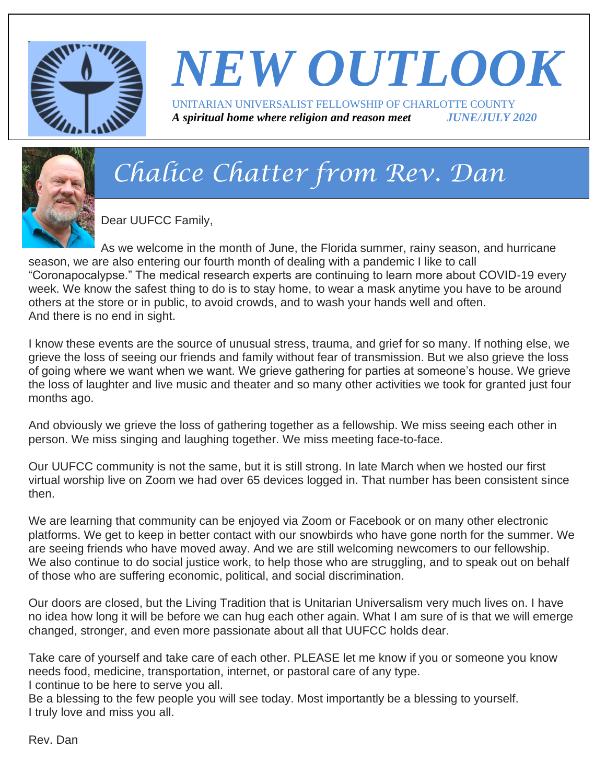

# *NEW OUTLOOK* UNITARIAN UNIVERSALIST FELLOWSHIP OF CHARLOTTE COUNTY

*A spiritual home where religion and reason meet JUNE/JULY 2020*



# *Chalice Chatter from Rev. Dan*

Dear UUFCC Family,

As we welcome in the month of June, the Florida summer, rainy season, and hurricane season, we are also entering our fourth month of dealing with a pandemic I like to call "Coronapocalypse." The medical research experts are continuing to learn more about COVID-19 every week. We know the safest thing to do is to stay home, to wear a mask anytime you have to be around others at the store or in public, to avoid crowds, and to wash your hands well and often. And there is no end in sight.

I know these events are the source of unusual stress, trauma, and grief for so many. If nothing else, we grieve the loss of seeing our friends and family without fear of transmission. But we also grieve the loss of going where we want when we want. We grieve gathering for parties at someone's house. We grieve the loss of laughter and live music and theater and so many other activities we took for granted just four months ago.

And obviously we grieve the loss of gathering together as a fellowship. We miss seeing each other in person. We miss singing and laughing together. We miss meeting face-to-face.

Our UUFCC community is not the same, but it is still strong. In late March when we hosted our first virtual worship live on Zoom we had over 65 devices logged in. That number has been consistent since then.

We are learning that community can be enjoyed via Zoom or Facebook or on many other electronic platforms. We get to keep in better contact with our snowbirds who have gone north for the summer. We are seeing friends who have moved away. And we are still welcoming newcomers to our fellowship. We also continue to do social justice work, to help those who are struggling, and to speak out on behalf of those who are suffering economic, political, and social discrimination.

Our doors are closed, but the Living Tradition that is Unitarian Universalism very much lives on. I have no idea how long it will be before we can hug each other again. What I am sure of is that we will emerge changed, stronger, and even more passionate about all that UUFCC holds dear.

Take care of yourself and take care of each other. PLEASE let me know if you or someone you know needs food, medicine, transportation, internet, or pastoral care of any type. I continue to be here to serve you all.

Be a blessing to the few people you will see today. Most importantly be a blessing to yourself. I truly love and miss you all.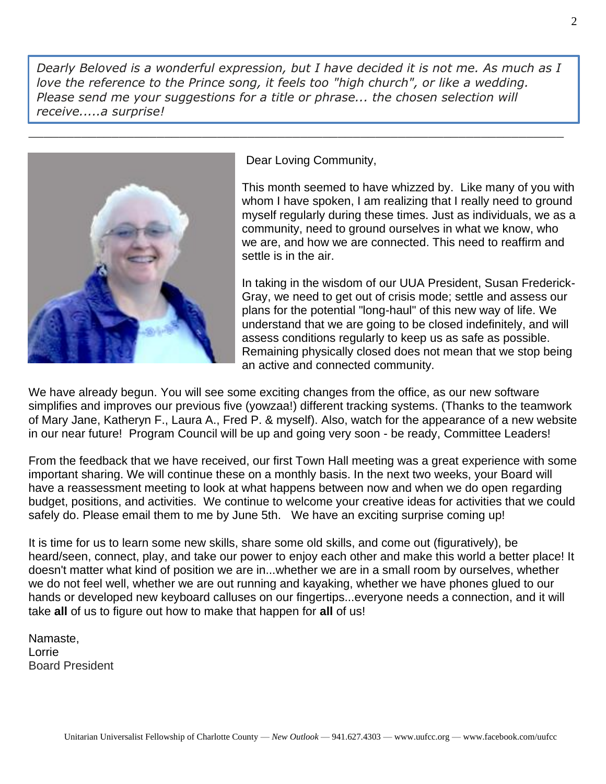*Dearly Beloved is a wonderful expression, but I have decided it is not me. As much as I love the reference to the Prince song, it feels too "high church", or like a wedding. Please send me your suggestions for a title or phrase... the chosen selection will receive.....a surprise!*

\_\_\_\_\_\_\_\_\_\_\_\_\_\_\_\_\_\_\_\_\_\_\_\_\_\_\_\_\_\_\_\_\_\_\_\_\_\_\_\_\_\_\_\_\_\_\_\_\_\_\_\_\_\_\_\_\_\_\_\_\_\_\_\_\_\_\_\_\_\_\_



Dear Loving Community,

This month seemed to have whizzed by. Like many of you with whom I have spoken, I am realizing that I really need to ground myself regularly during these times. Just as individuals, we as a community, need to ground ourselves in what we know, who we are, and how we are connected. This need to reaffirm and settle is in the air.

In taking in the wisdom of our UUA President, Susan Frederick-Gray, we need to get out of crisis mode; settle and assess our plans for the potential "long-haul" of this new way of life. We understand that we are going to be closed indefinitely, and will assess conditions regularly to keep us as safe as possible. Remaining physically closed does not mean that we stop being an active and connected community.

We have already begun. You will see some exciting changes from the office, as our new software simplifies and improves our previous five (yowzaa!) different tracking systems. (Thanks to the teamwork of Mary Jane, Katheryn F., Laura A., Fred P. & myself). Also, watch for the appearance of a new website in our near future! Program Council will be up and going very soon - be ready, Committee Leaders!

From the feedback that we have received, our first Town Hall meeting was a great experience with some important sharing. We will continue these on a monthly basis. In the next two weeks, your Board will have a reassessment meeting to look at what happens between now and when we do open regarding budget, positions, and activities. We continue to welcome your creative ideas for activities that we could safely do. Please email them to me by June 5th. We have an exciting surprise coming up!

It is time for us to learn some new skills, share some old skills, and come out (figuratively), be heard/seen, connect, play, and take our power to enjoy each other and make this world a better place! It doesn't matter what kind of position we are in...whether we are in a small room by ourselves, whether we do not feel well, whether we are out running and kayaking, whether we have phones glued to our hands or developed new keyboard calluses on our fingertips...everyone needs a connection, and it will take **all** of us to figure out how to make that happen for **all** of us!

Namaste, Lorrie Board President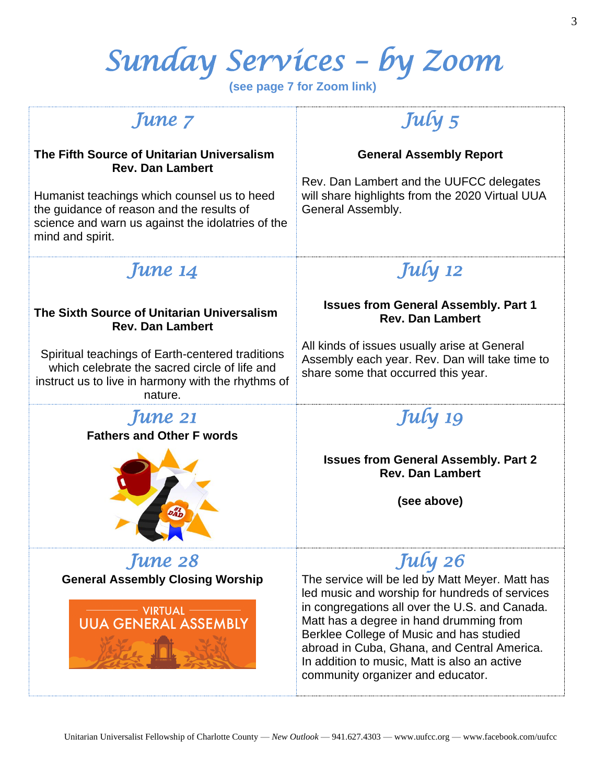# *Sunday Services – by Zoom*

**(see page 7 for Zoom link)**

### *June 7*

#### **The Fifth Source of Unitarian Universalism Rev. Dan Lambert**

Humanist teachings which counsel us to heed the guidance of reason and the results of science and warn us against the idolatries of the mind and spirit.

# *July 5*

#### **General Assembly Report**

Rev. Dan Lambert and the UUFCC delegates will share highlights from the 2020 Virtual UUA General Assembly.

### *June 14*

#### **The Sixth Source of Unitarian Universalism Rev. Dan Lambert**

Spiritual teachings of Earth-centered traditions which celebrate the sacred circle of life and instruct us to live in harmony with the rhythms of nature.



*June 28*  **General Assembly Closing Worship**



# *July 12*

#### **Issues from General Assembly. Part 1 Rev. Dan Lambert**

All kinds of issues usually arise at General Assembly each year. Rev. Dan will take time to share some that occurred this year.

# *July 19*

**Issues from General Assembly. Part 2 Rev. Dan Lambert**

**(see above)**

## *July 26*

The service will be led by Matt Meyer. Matt has led music and worship for hundreds of services in congregations all over the U.S. and Canada. Matt has a degree in hand drumming from Berklee College of Music and has studied abroad in Cuba, Ghana, and Central America. In addition to music, Matt is also an active community organizer and educator.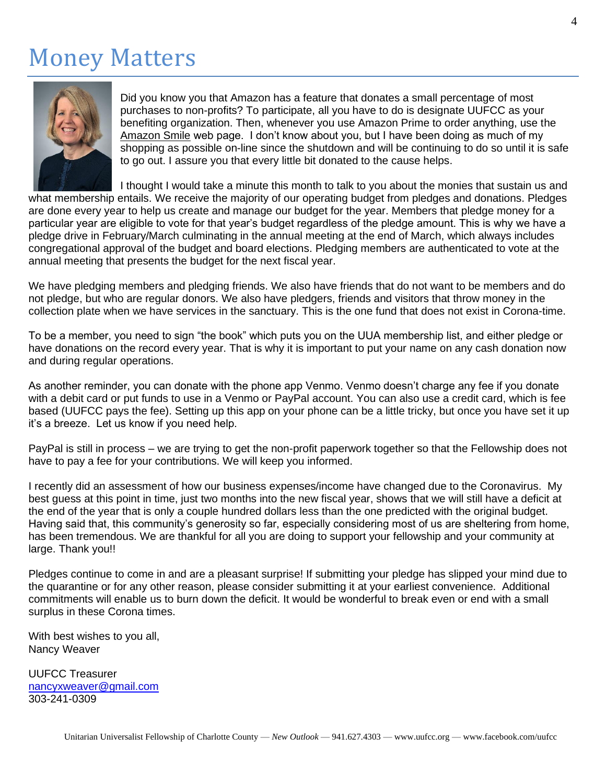# Money Matters



Did you know you that Amazon has a feature that donates a small percentage of most purchases to non-profits? To participate, all you have to do is designate UUFCC as your benefiting organization. Then, whenever you use Amazon Prime to order anything, use the Amazon Smile web page. I don't know about you, but I have been doing as much of my shopping as possible on-line since the shutdown and will be continuing to do so until it is safe to go out. I assure you that every little bit donated to the cause helps.

I thought I would take a minute this month to talk to you about the monies that sustain us and

what membership entails. We receive the majority of our operating budget from pledges and donations. Pledges are done every year to help us create and manage our budget for the year. Members that pledge money for a particular year are eligible to vote for that year's budget regardless of the pledge amount. This is why we have a pledge drive in February/March culminating in the annual meeting at the end of March, which always includes congregational approval of the budget and board elections. Pledging members are authenticated to vote at the annual meeting that presents the budget for the next fiscal year.

We have pledging members and pledging friends. We also have friends that do not want to be members and do not pledge, but who are regular donors. We also have pledgers, friends and visitors that throw money in the collection plate when we have services in the sanctuary. This is the one fund that does not exist in Corona-time.

To be a member, you need to sign "the book" which puts you on the UUA membership list, and either pledge or have donations on the record every year. That is why it is important to put your name on any cash donation now and during regular operations.

As another reminder, you can donate with the phone app Venmo. Venmo doesn't charge any fee if you donate with a debit card or put funds to use in a Venmo or PayPal account. You can also use a credit card, which is fee based (UUFCC pays the fee). Setting up this app on your phone can be a little tricky, but once you have set it up it's a breeze. Let us know if you need help.

PayPal is still in process – we are trying to get the non-profit paperwork together so that the Fellowship does not have to pay a fee for your contributions. We will keep you informed.

I recently did an assessment of how our business expenses/income have changed due to the Coronavirus. My best guess at this point in time, just two months into the new fiscal year, shows that we will still have a deficit at the end of the year that is only a couple hundred dollars less than the one predicted with the original budget. Having said that, this community's generosity so far, especially considering most of us are sheltering from home, has been tremendous. We are thankful for all you are doing to support your fellowship and your community at large. Thank you!!

Pledges continue to come in and are a pleasant surprise! If submitting your pledge has slipped your mind due to the quarantine or for any other reason, please consider submitting it at your earliest convenience. Additional commitments will enable us to burn down the deficit. It would be wonderful to break even or end with a small surplus in these Corona times.

With best wishes to you all, Nancy Weaver

UUFCC Treasurer [nancyxweaver@gmail.com](mailto:nancyxweaver@gmail.com) 303-241-0309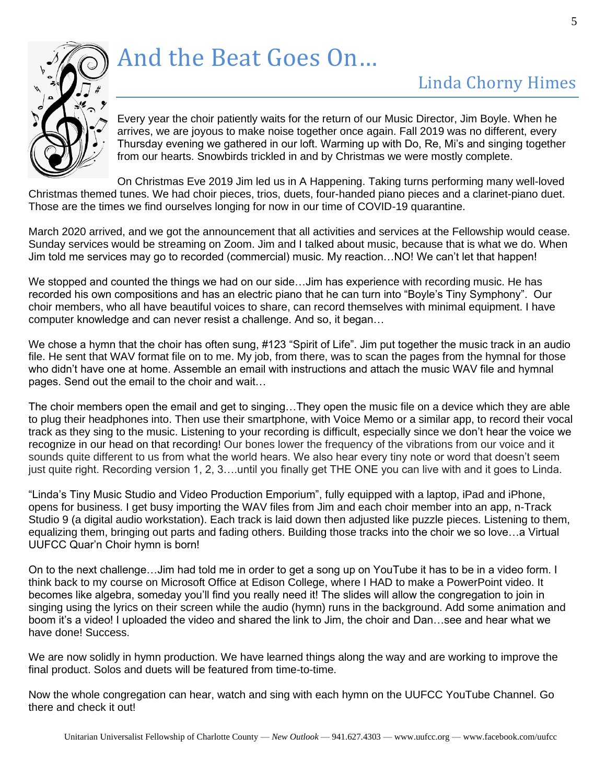

# And the Beat Goes On…

## Linda Chorny Himes

Every year the choir patiently waits for the return of our Music Director, Jim Boyle. When he arrives, we are joyous to make noise together once again. Fall 2019 was no different, every Thursday evening we gathered in our loft. Warming up with Do, Re, Mi's and singing together from our hearts. Snowbirds trickled in and by Christmas we were mostly complete.

On Christmas Eve 2019 Jim led us in A Happening. Taking turns performing many well-loved Christmas themed tunes. We had choir pieces, trios, duets, four-handed piano pieces and a clarinet-piano duet. Those are the times we find ourselves longing for now in our time of COVID-19 quarantine.

March 2020 arrived, and we got the announcement that all activities and services at the Fellowship would cease. Sunday services would be streaming on Zoom. Jim and I talked about music, because that is what we do. When Jim told me services may go to recorded (commercial) music. My reaction…NO! We can't let that happen!

We stopped and counted the things we had on our side...Jim has experience with recording music. He has recorded his own compositions and has an electric piano that he can turn into "Boyle's Tiny Symphony". Our choir members, who all have beautiful voices to share, can record themselves with minimal equipment. I have computer knowledge and can never resist a challenge. And so, it began…

We chose a hymn that the choir has often sung, #123 "Spirit of Life". Jim put together the music track in an audio file. He sent that WAV format file on to me. My job, from there, was to scan the pages from the hymnal for those who didn't have one at home. Assemble an email with instructions and attach the music WAV file and hymnal pages. Send out the email to the choir and wait…

The choir members open the email and get to singing…They open the music file on a device which they are able to plug their headphones into. Then use their smartphone, with Voice Memo or a similar app, to record their vocal track as they sing to the music. Listening to your recording is difficult, especially since we don't hear the voice we recognize in our head on that recording! Our bones lower the frequency of the vibrations from our voice and it sounds quite different to us from what the world hears. We also hear every tiny note or word that doesn't seem just quite right. Recording version 1, 2, 3….until you finally get THE ONE you can live with and it goes to Linda.

"Linda's Tiny Music Studio and Video Production Emporium", fully equipped with a laptop, iPad and iPhone, opens for business. I get busy importing the WAV files from Jim and each choir member into an app, n-Track Studio 9 (a digital audio workstation). Each track is laid down then adjusted like puzzle pieces. Listening to them, equalizing them, bringing out parts and fading others. Building those tracks into the choir we so love…a Virtual UUFCC Quar'n Choir hymn is born!

On to the next challenge…Jim had told me in order to get a song up on YouTube it has to be in a video form. I think back to my course on Microsoft Office at Edison College, where I HAD to make a PowerPoint video. It becomes like algebra, someday you'll find you really need it! The slides will allow the congregation to join in singing using the lyrics on their screen while the audio (hymn) runs in the background. Add some animation and boom it's a video! I uploaded the video and shared the link to Jim, the choir and Dan…see and hear what we have done! Success.

We are now solidly in hymn production. We have learned things along the way and are working to improve the final product. Solos and duets will be featured from time-to-time.

Now the whole congregation can hear, watch and sing with each hymn on the UUFCC YouTube Channel. Go there and check it out!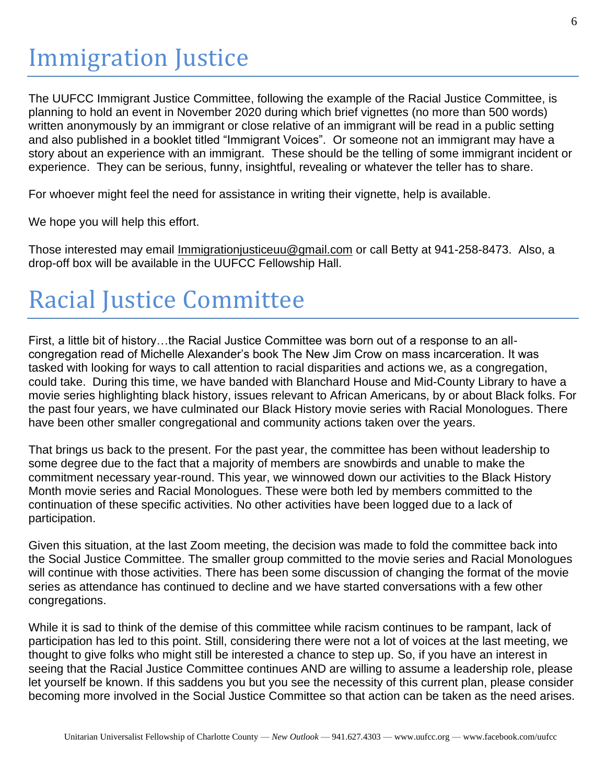The UUFCC Immigrant Justice Committee, following the example of the Racial Justice Committee, is planning to hold an event in November 2020 during which brief vignettes (no more than 500 words) written anonymously by an immigrant or close relative of an immigrant will be read in a public setting and also published in a booklet titled "Immigrant Voices". Or someone not an immigrant may have a story about an experience with an immigrant. These should be the telling of some immigrant incident or experience. They can be serious, funny, insightful, revealing or whatever the teller has to share.

For whoever might feel the need for assistance in writing their vignette, help is available.

We hope you will help this effort.

Those interested may email *[Immigrationjusticeuu@gmail.com](mailto:Immigrationjusticeuu@gmail.com)* or call Betty at 941-258-8473. Also, a drop-off box will be available in the UUFCC Fellowship Hall.

# Racial Justice Committee

First, a little bit of history…the Racial Justice Committee was born out of a response to an allcongregation read of Michelle Alexander's book The New Jim Crow on mass incarceration. It was tasked with looking for ways to call attention to racial disparities and actions we, as a congregation, could take. During this time, we have banded with Blanchard House and Mid-County Library to have a movie series highlighting black history, issues relevant to African Americans, by or about Black folks. For the past four years, we have culminated our Black History movie series with Racial Monologues. There have been other smaller congregational and community actions taken over the years.

That brings us back to the present. For the past year, the committee has been without leadership to some degree due to the fact that a majority of members are snowbirds and unable to make the commitment necessary year-round. This year, we winnowed down our activities to the Black History Month movie series and Racial Monologues. These were both led by members committed to the continuation of these specific activities. No other activities have been logged due to a lack of participation.

Given this situation, at the last Zoom meeting, the decision was made to fold the committee back into the Social Justice Committee. The smaller group committed to the movie series and Racial Monologues will continue with those activities. There has been some discussion of changing the format of the movie series as attendance has continued to decline and we have started conversations with a few other congregations.

While it is sad to think of the demise of this committee while racism continues to be rampant, lack of participation has led to this point. Still, considering there were not a lot of voices at the last meeting, we thought to give folks who might still be interested a chance to step up. So, if you have an interest in seeing that the Racial Justice Committee continues AND are willing to assume a leadership role, please let yourself be known. If this saddens you but you see the necessity of this current plan, please consider becoming more involved in the Social Justice Committee so that action can be taken as the need arises.